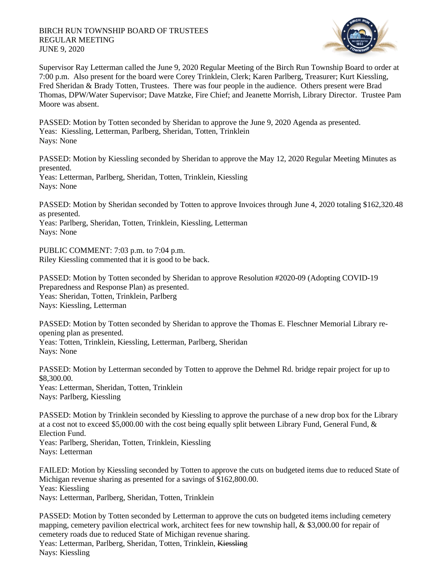

Supervisor Ray Letterman called the June 9, 2020 Regular Meeting of the Birch Run Township Board to order at 7:00 p.m. Also present for the board were Corey Trinklein, Clerk; Karen Parlberg, Treasurer; Kurt Kiessling, Fred Sheridan & Brady Totten, Trustees. There was four people in the audience. Others present were Brad Thomas, DPW/Water Supervisor; Dave Matzke, Fire Chief; and Jeanette Morrish, Library Director. Trustee Pam Moore was absent.

PASSED: Motion by Totten seconded by Sheridan to approve the June 9, 2020 Agenda as presented. Yeas: Kiessling, Letterman, Parlberg, Sheridan, Totten, Trinklein Nays: None

PASSED: Motion by Kiessling seconded by Sheridan to approve the May 12, 2020 Regular Meeting Minutes as presented.

Yeas: Letterman, Parlberg, Sheridan, Totten, Trinklein, Kiessling Nays: None

PASSED: Motion by Sheridan seconded by Totten to approve Invoices through June 4, 2020 totaling \$162,320.48 as presented.

Yeas: Parlberg, Sheridan, Totten, Trinklein, Kiessling, Letterman Nays: None

PUBLIC COMMENT: 7:03 p.m. to 7:04 p.m. Riley Kiessling commented that it is good to be back.

PASSED: Motion by Totten seconded by Sheridan to approve Resolution #2020-09 (Adopting COVID-19 Preparedness and Response Plan) as presented. Yeas: Sheridan, Totten, Trinklein, Parlberg Nays: Kiessling, Letterman

PASSED: Motion by Totten seconded by Sheridan to approve the Thomas E. Fleschner Memorial Library reopening plan as presented. Yeas: Totten, Trinklein, Kiessling, Letterman, Parlberg, Sheridan Nays: None

PASSED: Motion by Letterman seconded by Totten to approve the Dehmel Rd. bridge repair project for up to \$8,300.00.

Yeas: Letterman, Sheridan, Totten, Trinklein Nays: Parlberg, Kiessling

PASSED: Motion by Trinklein seconded by Kiessling to approve the purchase of a new drop box for the Library at a cost not to exceed \$5,000.00 with the cost being equally split between Library Fund, General Fund, & Election Fund. Yeas: Parlberg, Sheridan, Totten, Trinklein, Kiessling

Nays: Letterman

FAILED: Motion by Kiessling seconded by Totten to approve the cuts on budgeted items due to reduced State of Michigan revenue sharing as presented for a savings of \$162,800.00. Yeas: Kiessling Nays: Letterman, Parlberg, Sheridan, Totten, Trinklein

PASSED: Motion by Totten seconded by Letterman to approve the cuts on budgeted items including cemetery mapping, cemetery pavilion electrical work, architect fees for new township hall, & \$3,000.00 for repair of cemetery roads due to reduced State of Michigan revenue sharing.

Yeas: Letterman, Parlberg, Sheridan, Totten, Trinklein, Kiessling Nays: Kiessling